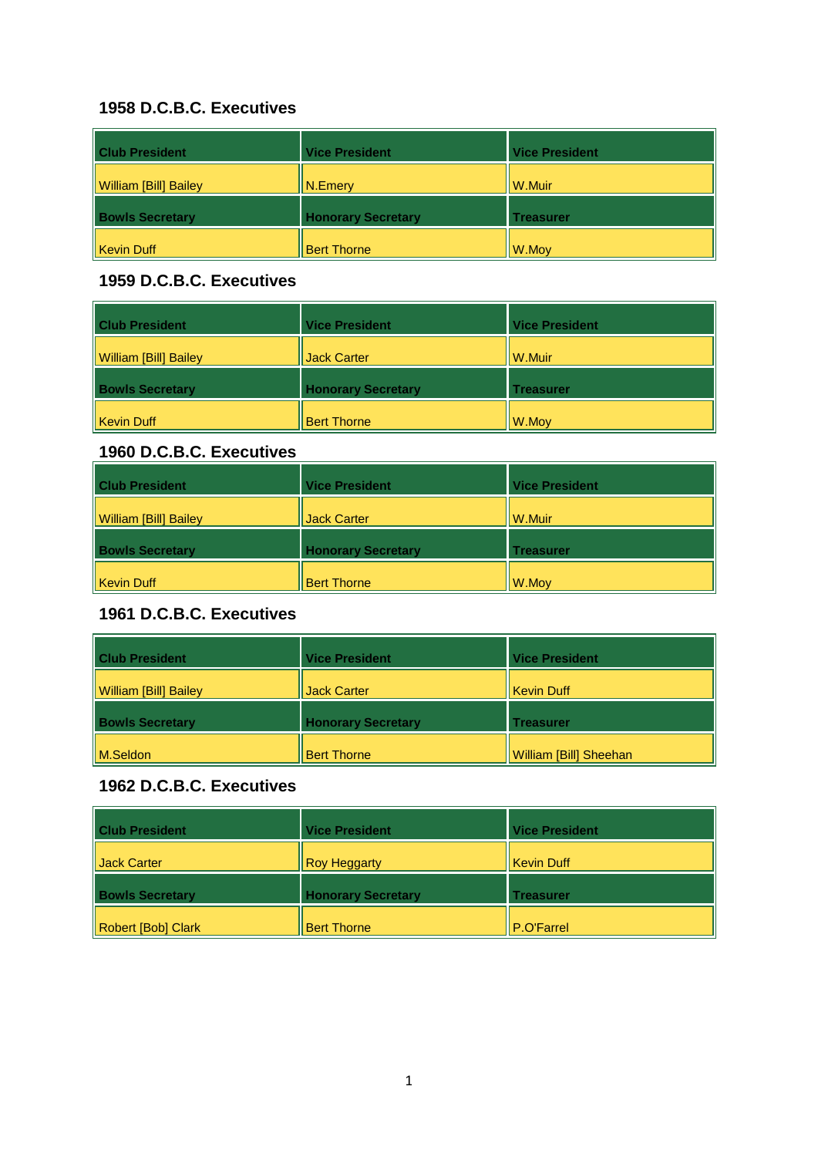| <b>Club President</b>        | <b>Vice President</b>     | <b>Vice President</b> |
|------------------------------|---------------------------|-----------------------|
| <b>William [Bill] Bailey</b> | $\vert$ N. Emery          | W.Muir                |
| <b>Bowls Secretary</b>       | <b>Honorary Secretary</b> | <b>Treasurer</b>      |
| <b>Kevin Duff</b>            | <b>Bert Thorne</b>        | W.Moy                 |

#### **1959 D.C.B.C. Executives**

| <b>Club President</b>  | <b>Vice President</b>     | <b>Vice President</b> |
|------------------------|---------------------------|-----------------------|
| William [Bill] Bailey  | <b>Jack Carter</b>        | W.Muir                |
| <b>Bowls Secretary</b> | <b>Honorary Secretary</b> | Treasurer             |
| Kevin Duff             | <b>Bert Thorne</b>        | W.Moy                 |

## **1960 D.C.B.C. Executives**

| <b>Club President</b>  | <b>Vice President</b>     | <b>Vice President</b> |
|------------------------|---------------------------|-----------------------|
| William [Bill] Bailey  | Jack Carter               | W.Muir                |
| <b>Bowls Secretary</b> | <b>Honorary Secretary</b> | <b>Treasurer</b>      |
| Kevin Duff             | <b>Bert Thorne</b>        | $\ W.Moy\ $           |

# **1961 D.C.B.C. Executives**

| <b>Club President</b>        | <b>Vice President</b>     | <b>Vice President</b>         |
|------------------------------|---------------------------|-------------------------------|
| <b>William [Bill] Bailey</b> | Jack Carter               | <b>Kevin Duff</b>             |
| <b>Bowls Secretary</b>       | <b>Honorary Secretary</b> | <b>Treasurer</b>              |
| M.Seldon                     | <b>Bert Thorne</b>        | <b>William [Bill] Sheehan</b> |

| <b>Club President</b>  | <b>Vice President</b>     | <b>Vice President</b> |
|------------------------|---------------------------|-----------------------|
| <b>I</b> Jack Carter   | <b>Roy Heggarty</b>       | <b>Kevin Duff</b>     |
| <b>Bowls Secretary</b> | <b>Honorary Secretary</b> | <b>Treasurer</b>      |
| Robert [Bob] Clark     | <b>Bert Thorne</b>        | P.O'Farrel            |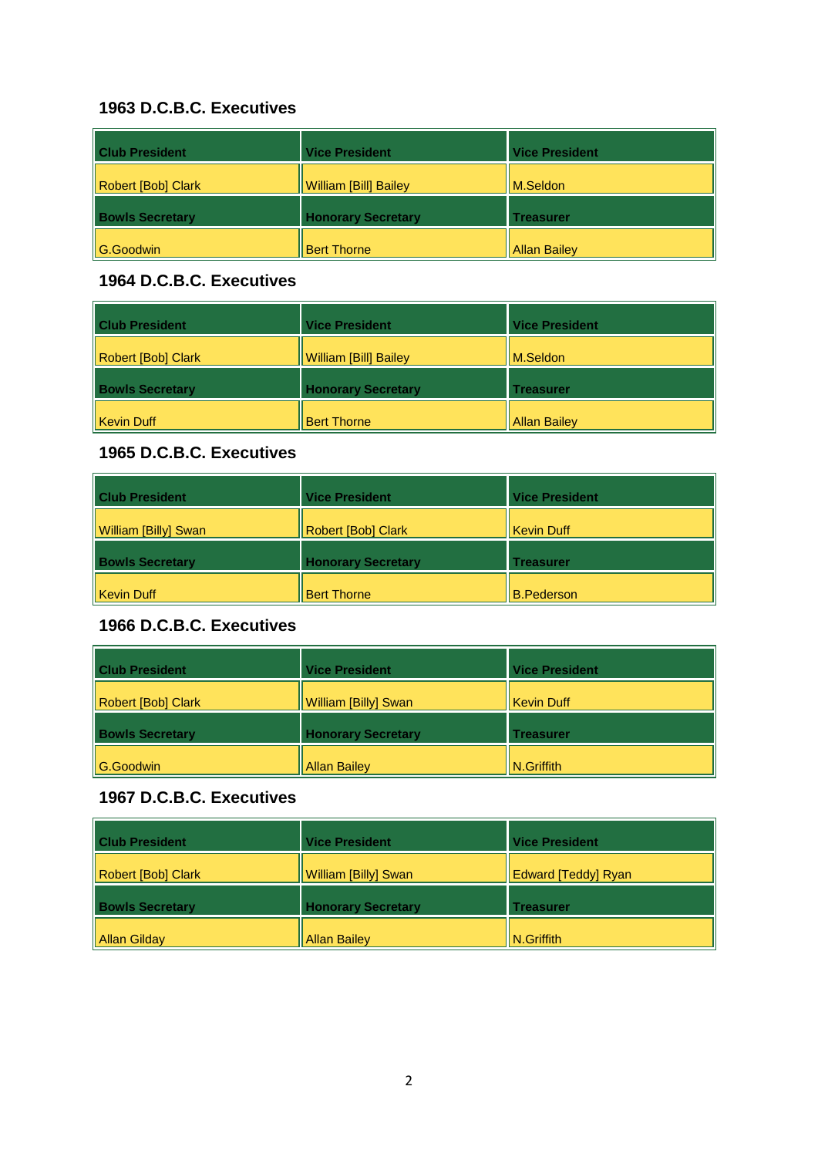| <b>Club President</b>  | <b>Vice President</b>        | <b>Vice President</b> |
|------------------------|------------------------------|-----------------------|
| Robert [Bob] Clark     | <b>William [Bill] Bailey</b> | M.Seldon              |
| <b>Bowls Secretary</b> | <b>Honorary Secretary</b>    | <b>Treasurer</b>      |
| $\parallel$ G.Goodwin  | <b>Bert Thorne</b>           | <b>Allan Bailey</b>   |

#### **1964 D.C.B.C. Executives**

| <b>Club President</b>  | <b>Vice President</b>        | <b>Vice President</b> |
|------------------------|------------------------------|-----------------------|
| Robert [Bob] Clark     | <b>William [Bill] Bailey</b> | M.Seldon              |
| <b>Bowls Secretary</b> | <b>Honorary Secretary</b>    | Treasurer             |
| Kevin Duff             | <b>Bert Thorne</b>           | <b>Allan Bailey</b>   |

### **1965 D.C.B.C. Executives**

| <b>Club President</b>  | <b>Vice President</b>     | <b>Vice President</b> |
|------------------------|---------------------------|-----------------------|
| William [Billy] Swan   | Robert [Bob] Clark        | Kevin Duff            |
| <b>Bowls Secretary</b> | <b>Honorary Secretary</b> | <b>Treasurer</b>      |
| Kevin Duff             | <b>Bert Thorne</b>        | B.Pederson            |

# **1966 D.C.B.C. Executives**

| <b>Club President</b>  | <b>Vice President</b>       | <b>Vice President</b> |
|------------------------|-----------------------------|-----------------------|
| Robert [Bob] Clark     | <b>William [Billy] Swan</b> | Kevin Duff            |
| <b>Bowls Secretary</b> | <b>Honorary Secretary</b>   | <b>Treasurer</b>      |
| G.Goodwin              | <b>Allan Bailey</b>         | N.Griffith            |

| <b>Club President</b>  | <b>Vice President</b>     | <b>Vice President</b>      |
|------------------------|---------------------------|----------------------------|
| Robert [Bob] Clark     | William [Billy] Swan      | <b>Edward [Teddy] Ryan</b> |
| <b>Bowls Secretary</b> | <b>Honorary Secretary</b> | Treasurer                  |
| Allan Gilday           | <b>Allan Bailey</b>       | N.Griffith                 |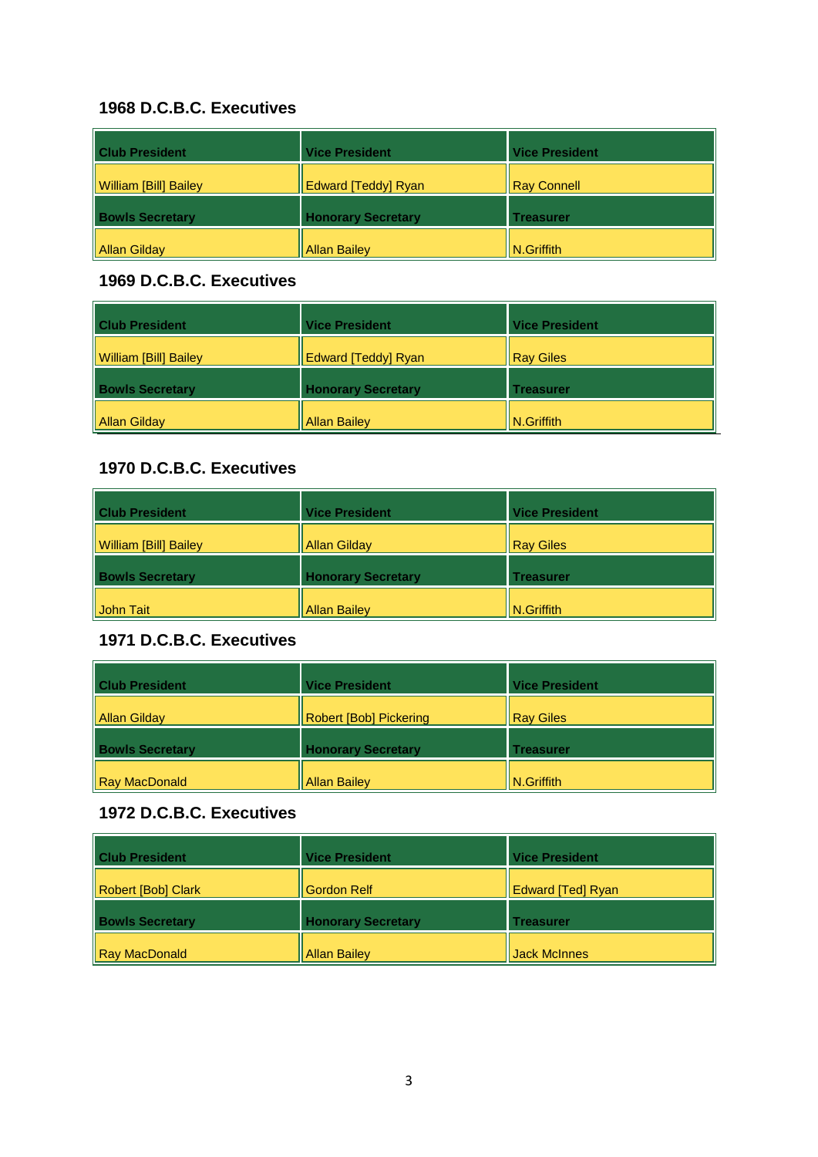| <b>Club President</b>        | <b>Vice President</b>     | <b>Vice President</b> |
|------------------------------|---------------------------|-----------------------|
| <b>William [Bill] Bailey</b> | Edward [Teddy] Ryan       | <b>Ray Connell</b>    |
| <b>Bowls Secretary</b>       | <b>Honorary Secretary</b> | <b>Treasurer</b>      |
| Allan Gilday                 | <b>Allan Bailey</b>       | $N.G$ riffith         |

#### **1969 D.C.B.C. Executives**

| <b>Club President</b>  | <b>Vice President</b>     | <b>Vice President</b> |
|------------------------|---------------------------|-----------------------|
| William [Bill] Bailey  | Edward [Teddy] Ryan       | <b>Ray Giles</b>      |
| <b>Bowls Secretary</b> | <b>Honorary Secretary</b> | <b>Treasurer</b>      |
| Allan Gilday           | <b>Allan Bailey</b>       | N.Griffith            |

### **1970 D.C.B.C. Executives**

| <b>Club President</b>        | <b>Vice President</b>     | <b>Vice President</b> |
|------------------------------|---------------------------|-----------------------|
| <b>William [Bill] Bailey</b> | <b>Allan Gilday</b>       | <b>Ray Giles</b>      |
| <b>Bowls Secretary</b>       | <b>Honorary Secretary</b> | <b>Treasurer</b>      |
| John Tait                    | <b>Allan Bailey</b>       | N.Griffith            |

### **1971 D.C.B.C. Executives**

| <b>Club President</b>  | <b>Vice President</b>         | <b>Vice President</b>  |
|------------------------|-------------------------------|------------------------|
| Allan Gilday           | <b>Robert [Bob] Pickering</b> | <b>Ray Giles</b>       |
| <b>Bowls Secretary</b> | <b>Honorary Secretary</b>     | <b>Treasurer</b>       |
| Ray MacDonald          | <b>Allan Bailey</b>           | $\parallel$ N.Griffith |

| <b>Club President</b>  | <b>Vice President</b>     | <b>Vice President</b>    |
|------------------------|---------------------------|--------------------------|
| Robert [Bob] Clark     | <b>Gordon Relf</b>        | <b>Edward [Ted] Ryan</b> |
| <b>Bowls Secretary</b> | <b>Honorary Secretary</b> | <b>Treasurer</b>         |
| Ray MacDonald          | <b>Allan Bailey</b>       | <b>Jack McInnes</b>      |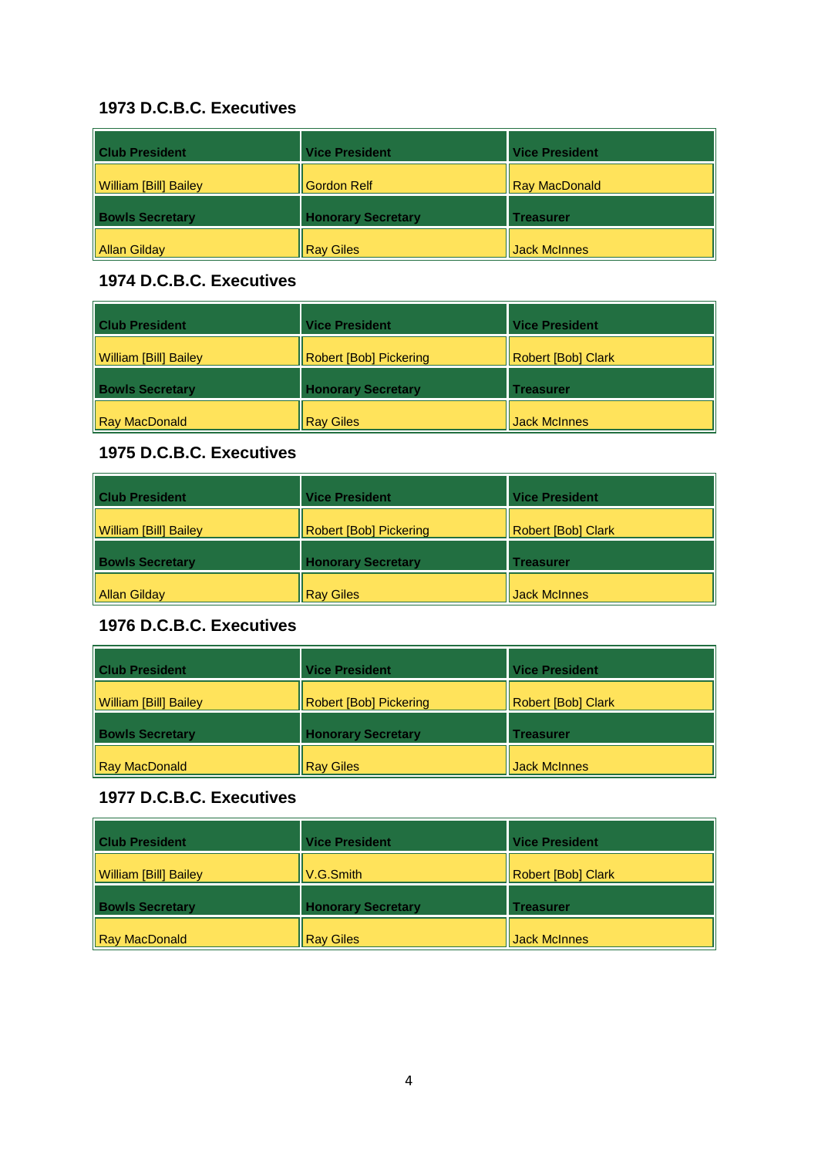| <b>Club President</b>        | <b>Vice President</b>     | <b>Vice President</b> |
|------------------------------|---------------------------|-----------------------|
| <b>William [Bill] Bailey</b> | <b>Gordon Relf</b>        | <b>Ray MacDonald</b>  |
| <b>Bowls Secretary</b>       | <b>Honorary Secretary</b> | <b>Treasurer</b>      |
| Allan Gilday                 | <b>Ray Giles</b>          | <b>Jack McInnes</b>   |

#### **1974 D.C.B.C. Executives**

| <b>Club President</b>  | <b>Vice President</b>         | <b>Vice President</b>     |
|------------------------|-------------------------------|---------------------------|
| William [Bill] Bailey  | <b>Robert [Bob] Pickering</b> | <b>Robert [Bob] Clark</b> |
| <b>Bowls Secretary</b> | <b>Honorary Secretary</b>     | <b>Treasurer</b>          |
| Ray MacDonald          | <b>Ray Giles</b>              | <b>Jack McInnes</b>       |

### **1975 D.C.B.C. Executives**

| <b>Club President</b>  | <b>Vice President</b>         | <b>Vice President</b> |
|------------------------|-------------------------------|-----------------------|
| William [Bill] Bailey  | <b>Robert [Bob] Pickering</b> | Robert [Bob] Clark    |
| <b>Bowls Secretary</b> | <b>Honorary Secretary</b>     | Treasurer             |
| Allan Gilday           | <b>Ray Giles</b>              | <b>Jack McInnes</b>   |

# **1976 D.C.B.C. Executives**

| <b>Club President</b>        | <b>Vice President</b>         | <b>Vice President</b> |
|------------------------------|-------------------------------|-----------------------|
| <b>William [Bill] Bailey</b> | <b>Robert [Bob] Pickering</b> | Robert [Bob] Clark    |
| <b>Bowls Secretary</b>       | <b>Honorary Secretary</b>     | Treasurer             |
| Ray MacDonald                | <b>Ray Giles</b>              | <b>Jack McInnes</b>   |

| <b>Club President</b>        | <b>Vice President</b>     | <b>Vice President</b>     |
|------------------------------|---------------------------|---------------------------|
| <b>William [Bill] Bailey</b> | V.G.Smith                 | <b>Robert [Bob] Clark</b> |
| <b>Bowls Secretary</b>       | <b>Honorary Secretary</b> | Treasurer                 |
| Ray MacDonald                | <b>Ray Giles</b>          | Jack McInnes              |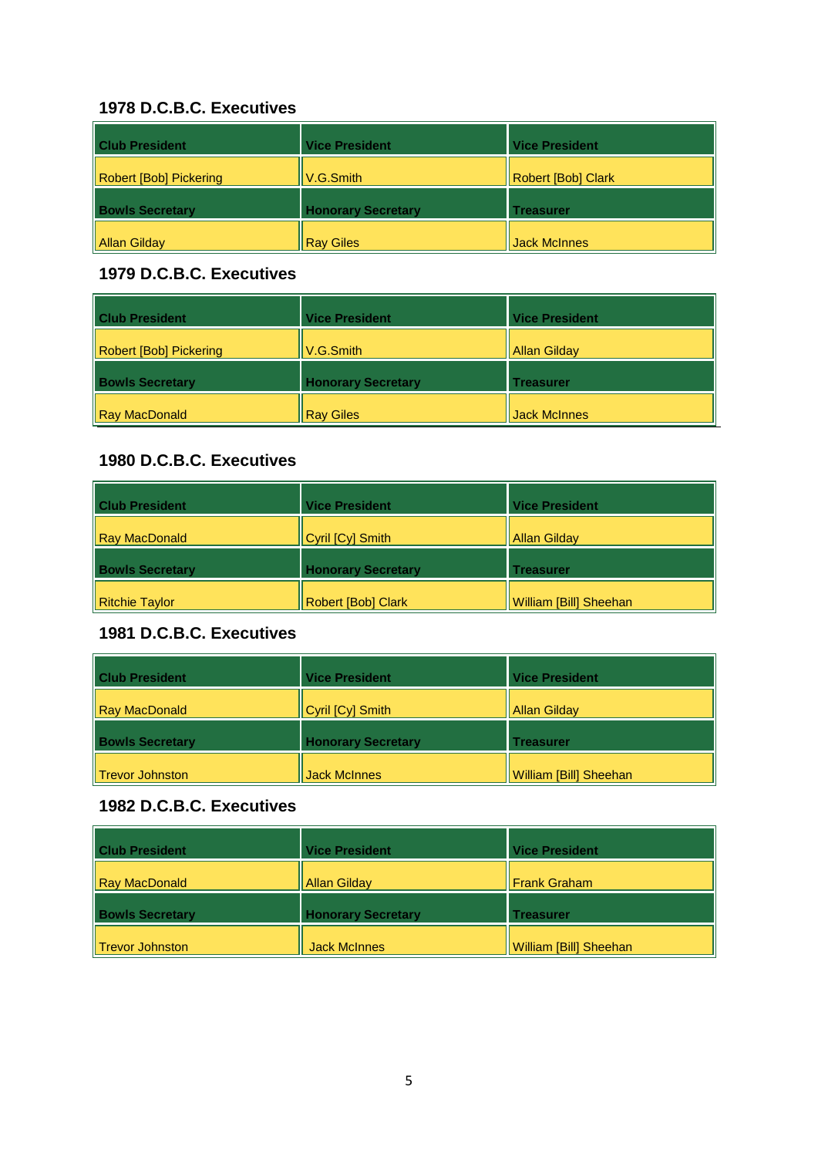| <b>Club President</b>  | <b>Vice President</b>     | <b>Vice President</b> |
|------------------------|---------------------------|-----------------------|
| Robert [Bob] Pickering | V.G.Smith                 | Robert [Bob] Clark    |
| <b>Bowls Secretary</b> | <b>Honorary Secretary</b> | Treasurer             |
| Allan Gilday           | <b>Ray Giles</b>          | <b>Jack McInnes</b>   |

#### **1979 D.C.B.C. Executives**

| <b>Club President</b>  | <b>Vice President</b>     | <b>Vice President</b> |
|------------------------|---------------------------|-----------------------|
| Robert [Bob] Pickering | V.G.Smith                 | Allan Gilday          |
| <b>Bowls Secretary</b> | <b>Honorary Secretary</b> | <b>Treasurer</b>      |
| <b>Ray MacDonald</b>   | <b>Ray Giles</b>          | <b>Jack McInnes</b>   |

#### **1980 D.C.B.C. Executives**

| <b>Club President</b>  | <b>Vice President</b>     | <b>Vice President</b>  |
|------------------------|---------------------------|------------------------|
| Ray MacDonald          | Cyril [Cy] Smith          | <b>Allan Gilday</b>    |
| <b>Bowls Secretary</b> | <b>Honorary Secretary</b> | Treasurer              |
| Ritchie Taylor         | <b>Robert [Bob] Clark</b> | William [Bill] Sheehan |

## **1981 D.C.B.C. Executives**

| <b>Club President</b>  | <b>Vice President</b>     | <b>Vice President</b>         |
|------------------------|---------------------------|-------------------------------|
| Ray MacDonald          | Cyril [Cy] Smith          | Allan Gilday                  |
| <b>Bowls Secretary</b> | <b>Honorary Secretary</b> | Treasurer                     |
| Trevor Johnston        | Jack McInnes              | <b>William [Bill] Sheehan</b> |

| <b>Club President</b>  | <b>Vice President</b>     | <b>Vice President</b>  |
|------------------------|---------------------------|------------------------|
| <b>Ray MacDonald</b>   | <b>Allan Gilday</b>       | <b>Frank Graham</b>    |
| <b>Bowls Secretary</b> | <b>Honorary Secretary</b> | <b>Treasurer</b>       |
| Trevor Johnston        | <b>Jack McInnes</b>       | William [Bill] Sheehan |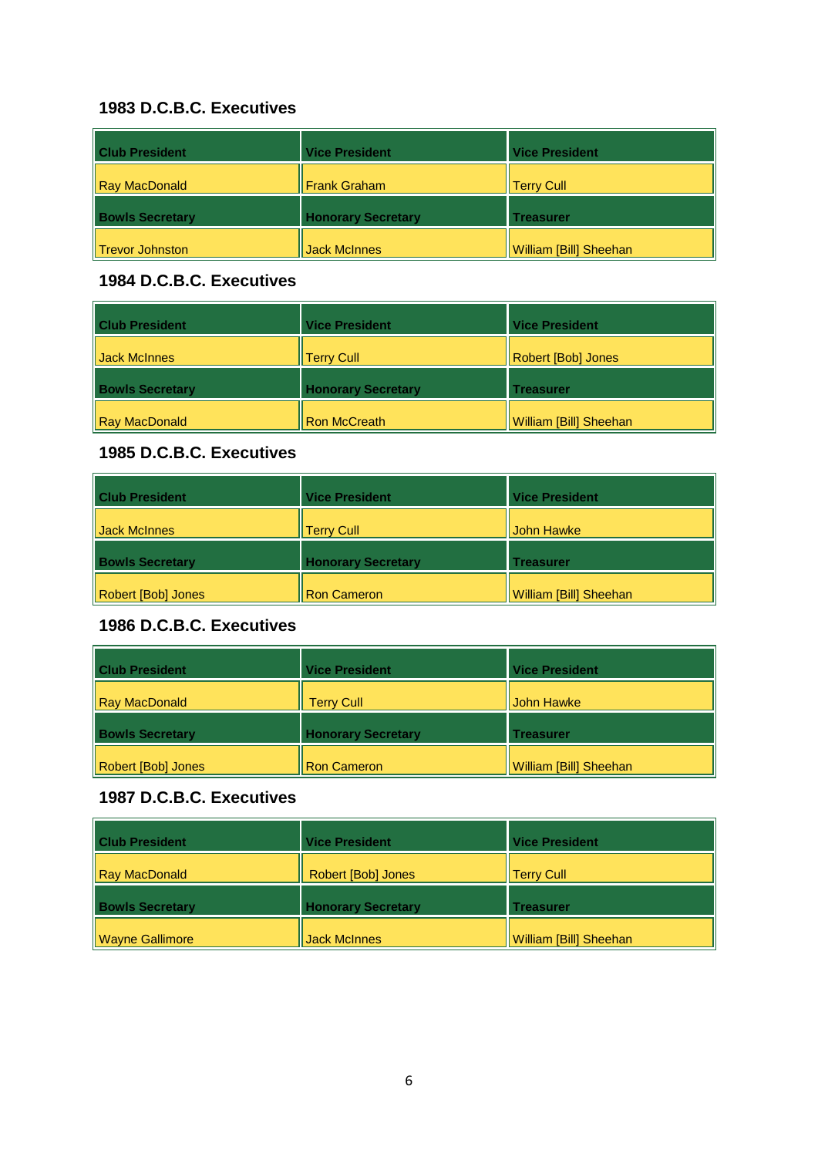| <b>Club President</b>  | <b>Vice President</b>     | <b>Vice President</b>  |
|------------------------|---------------------------|------------------------|
| Ray MacDonald          | <b>Frank Graham</b>       | <b>Terry Cull</b>      |
| <b>Bowls Secretary</b> | <b>Honorary Secretary</b> | <b>Treasurer</b>       |
| Trevor Johnston        | <b>Jack McInnes</b>       | William [Bill] Sheehan |

#### **1984 D.C.B.C. Executives**

| <b>Club President</b>  | <b>Vice President</b>     | <b>Vice President</b>         |
|------------------------|---------------------------|-------------------------------|
| Jack McInnes           | <b>Terry Cull</b>         | Robert [Bob] Jones            |
| <b>Bowls Secretary</b> | <b>Honorary Secretary</b> | <b>Treasurer</b>              |
| Ray MacDonald          | <b>Ron McCreath</b>       | <b>William [Bill] Sheehan</b> |

### **1985 D.C.B.C. Executives**

| <b>Club President</b>  | <b>Vice President</b>     | <b>Vice President</b>  |
|------------------------|---------------------------|------------------------|
| <b>Jack McInnes</b>    | <b>Terry Cull</b>         | John Hawke             |
| <b>Bowls Secretary</b> | <b>Honorary Secretary</b> | Treasurer              |
| Robert [Bob] Jones     | <b>Ron Cameron</b>        | William [Bill] Sheehan |

# **1986 D.C.B.C. Executives**

| <b>Club President</b>  | <b>Vice President</b>     | <b>Vice President</b>  |
|------------------------|---------------------------|------------------------|
| Ray MacDonald          | <b>Terry Cull</b>         | Il John Hawke          |
| <b>Bowls Secretary</b> | <b>Honorary Secretary</b> | <b>Treasurer</b>       |
| Robert [Bob] Jones     | <b>Ron Cameron</b>        | William [Bill] Sheehan |

| <b>Club President</b>  | <b>Vice President</b>     | <b>Vice President</b>         |
|------------------------|---------------------------|-------------------------------|
| Ray MacDonald          | Robert [Bob] Jones        | <b>Terry Cull</b>             |
| <b>Bowls Secretary</b> | <b>Honorary Secretary</b> | Treasurer                     |
| <b>Wayne Gallimore</b> | <b>Jack McInnes</b>       | <b>William [Bill] Sheehan</b> |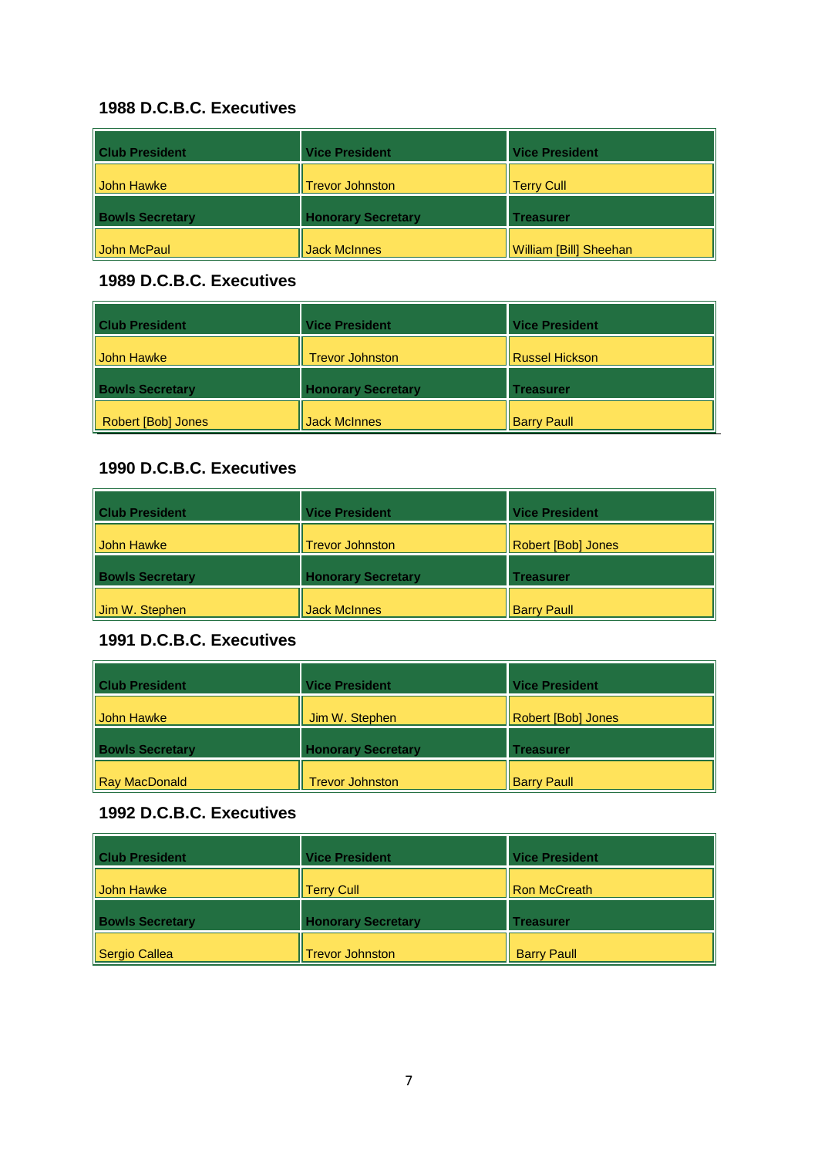| <b>Club President</b>  | <b>Vice President</b>     | <b>Vice President</b>         |
|------------------------|---------------------------|-------------------------------|
| <b>John Hawke</b>      | <b>Trevor Johnston</b>    | <b>Terry Cull</b>             |
| <b>Bowls Secretary</b> | <b>Honorary Secretary</b> | <b>Treasurer</b>              |
| <b>John McPaul</b>     | Jack McInnes              | <b>William [Bill] Sheehan</b> |

#### **1989 D.C.B.C. Executives**

| <b>Club President</b>  | <b>Vice President</b>     | <b>Vice President</b> |
|------------------------|---------------------------|-----------------------|
| Il John Hawke          | <b>Trevor Johnston</b>    | <b>Russel Hickson</b> |
| <b>Bowls Secretary</b> | <b>Honorary Secretary</b> | <b>Treasurer</b>      |
| Robert [Bob] Jones     | <b>Jack McInnes</b>       | <b>Barry Paull</b>    |

### **1990 D.C.B.C. Executives**

| <b>Club President</b>  | <b>Vice President</b>     | <b>Vice President</b> |
|------------------------|---------------------------|-----------------------|
| <b>John Hawke</b>      | <b>Trevor Johnston</b>    | Robert [Bob] Jones    |
| <b>Bowls Secretary</b> | <b>Honorary Secretary</b> | <b>Treasurer</b>      |
| Jim W. Stephen         | <b>Jack McInnes</b>       | <b>Barry Paull</b>    |

### **1991 D.C.B.C. Executives**

| <b>Club President</b>  | <b>Vice President</b>     | <b>Vice President</b> |
|------------------------|---------------------------|-----------------------|
| <b>John Hawke</b>      | Jim W. Stephen            | Robert [Bob] Jones    |
| <b>Bowls Secretary</b> | <b>Honorary Secretary</b> | Treasurer             |
| Ray MacDonald          | <b>Trevor Johnston</b>    | <b>Barry Paull</b>    |

| <b>Club President</b>  | <b>Vice President</b>     | <b>Vice President</b> |
|------------------------|---------------------------|-----------------------|
| <b>John Hawke</b>      | <b>Terry Cull</b>         | Ron McCreath          |
| <b>Bowls Secretary</b> | <b>Honorary Secretary</b> | <b>Treasurer</b>      |
| Sergio Callea          | <b>Trevor Johnston</b>    | <b>Barry Paull</b>    |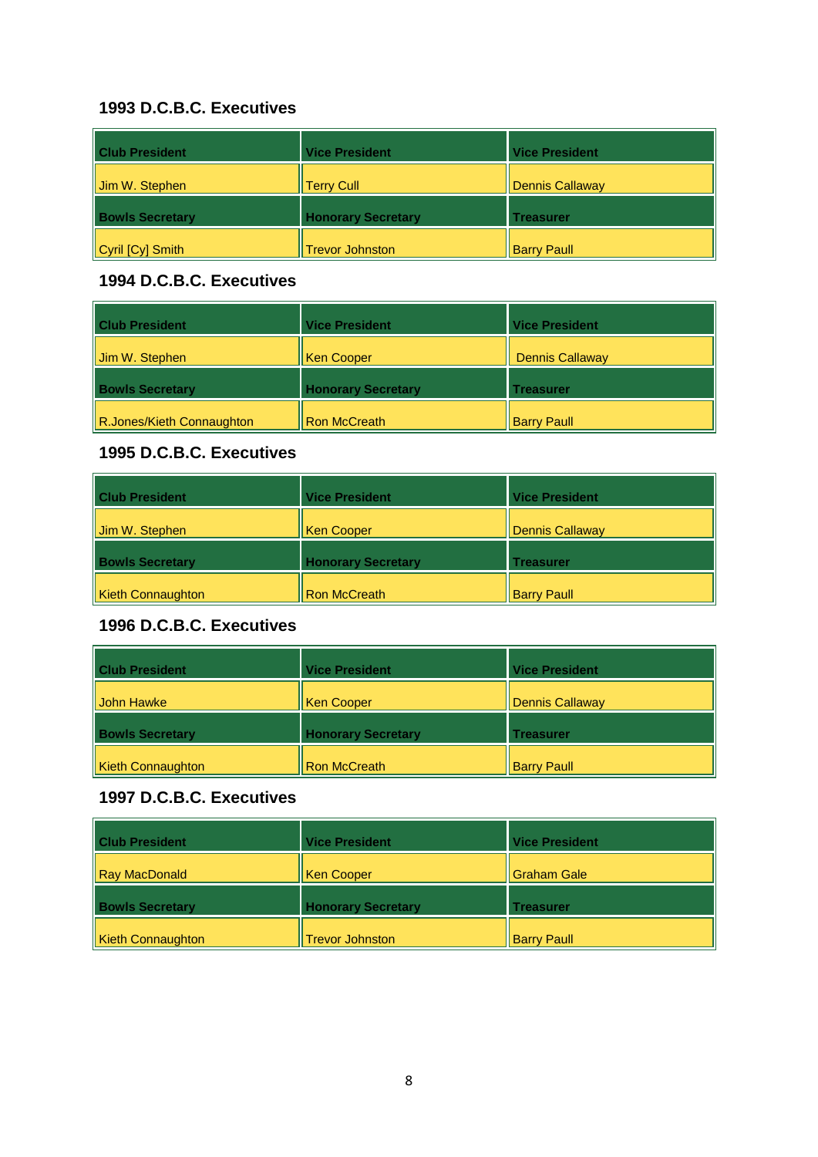| <b>Club President</b>  | <b>Vice President</b>     | <b>Vice President</b>  |
|------------------------|---------------------------|------------------------|
| Jim W. Stephen         | <b>Terry Cull</b>         | <b>Dennis Callaway</b> |
| <b>Bowls Secretary</b> | <b>Honorary Secretary</b> | <b>Treasurer</b>       |
| Cyril [Cy] Smith       | <b>Trevor Johnston</b>    | <b>Barry Paull</b>     |

#### **1994 D.C.B.C. Executives**

| <b>Club President</b>     | <b>Vice President</b>     | <b>Vice President</b>  |
|---------------------------|---------------------------|------------------------|
| Jim W. Stephen            | Ken Cooper                | <b>Dennis Callaway</b> |
| <b>Bowls Secretary</b>    | <b>Honorary Secretary</b> | Treasurer              |
| R.Jones/Kieth Connaughton | <b>Ron McCreath</b>       | <b>Barry Paull</b>     |

### **1995 D.C.B.C. Executives**

| <b>Club President</b>    | <b>Vice President</b>     | <b>Vice President</b>  |
|--------------------------|---------------------------|------------------------|
| Jim W. Stephen           | Ken Cooper                | <b>Dennis Callaway</b> |
| <b>Bowls Secretary</b>   | <b>Honorary Secretary</b> | <b>Treasurer</b>       |
| <b>Kieth Connaughton</b> | <b>Ron McCreath</b>       | <b>Barry Paull</b>     |

# **1996 D.C.B.C. Executives**

| <b>Club President</b>    | <b>Vice President</b>     | <b>Vice President</b>  |
|--------------------------|---------------------------|------------------------|
| <b>John Hawke</b>        | <b>Ken Cooper</b>         | <b>Dennis Callaway</b> |
| <b>Bowls Secretary</b>   | <b>Honorary Secretary</b> | <b>Treasurer</b>       |
| <b>Kieth Connaughton</b> | <b>Ron McCreath</b>       | <b>Barry Paull</b>     |

| <b>Club President</b>    | <b>Vice President</b>     | <b>Vice President</b> |
|--------------------------|---------------------------|-----------------------|
| Ray MacDonald            | Ken Cooper                | <b>Graham Gale</b>    |
| <b>Bowls Secretary</b>   | <b>Honorary Secretary</b> | Treasurer             |
| <b>Kieth Connaughton</b> | <b>Trevor Johnston</b>    | <b>Barry Paull</b>    |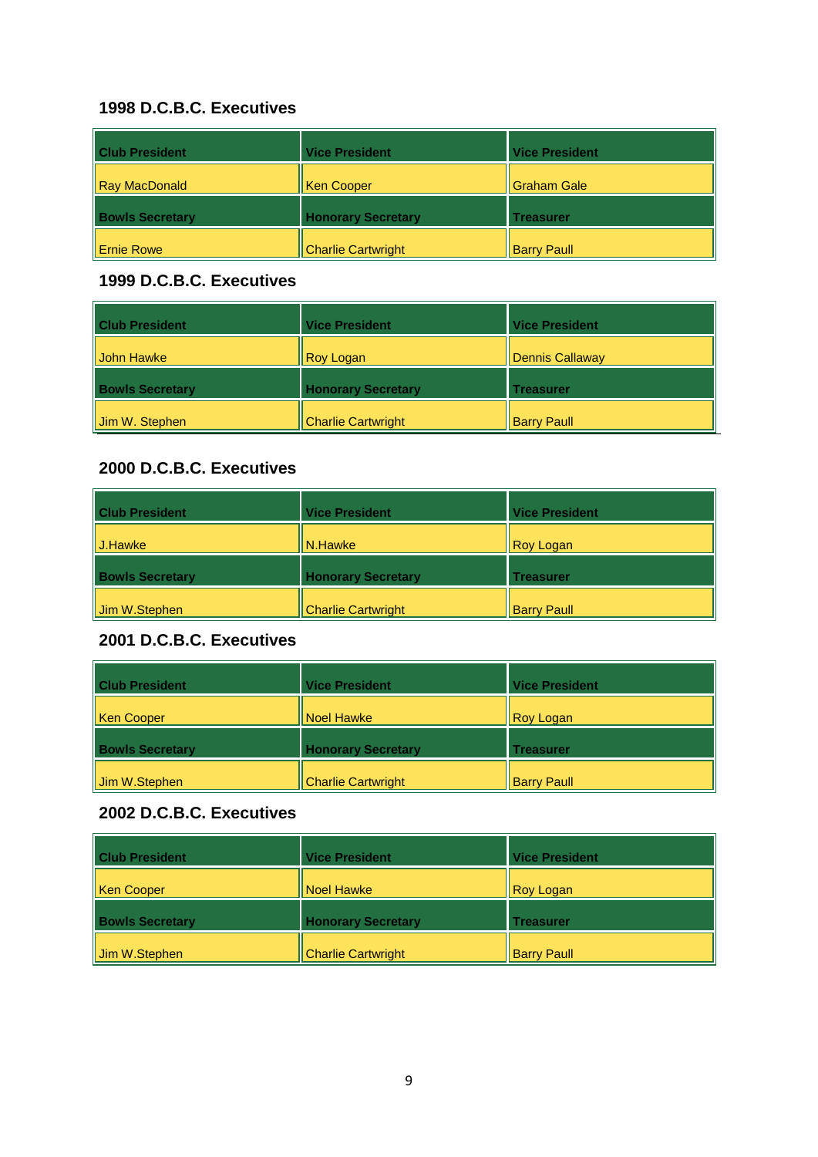| <b>Club President</b>  | <b>Vice President</b>     | <b>Vice President</b> |
|------------------------|---------------------------|-----------------------|
| Ray MacDonald          | Ken Cooper                | Graham Gale           |
| <b>Bowls Secretary</b> | <b>Honorary Secretary</b> | <b>Treasurer</b>      |
| Il Ernie Rowe          | <b>Charlie Cartwright</b> | <b>Barry Paull</b>    |

#### **1999 D.C.B.C. Executives**

| <b>Club President</b>      | <b>Vice President</b>     | <b>Vice President</b>  |
|----------------------------|---------------------------|------------------------|
| <b>II John Hawke</b>       | <b>Roy Logan</b>          | <b>Dennis Callaway</b> |
| <b>Bowls Secretary</b>     | <b>Honorary Secretary</b> | <b>Treasurer</b>       |
| $\parallel$ Jim W. Stephen | <b>Charlie Cartwright</b> | <b>Barry Paull</b>     |

### **2000 D.C.B.C. Executives**

| <b>Club President</b>  | <b>Vice President</b>     | <b>Vice President</b> |
|------------------------|---------------------------|-----------------------|
| II J.Hawke             | N.Hawke                   | Roy Logan             |
| <b>Bowls Secretary</b> | <b>Honorary Secretary</b> | <b>Treasurer</b>      |
| Jim W.Stephen          | <b>Charlie Cartwright</b> | <b>Barry Paull</b>    |

### **2001 D.C.B.C. Executives**

| <b>Club President</b>  | <b>Vice President</b>     | <b>Vice President</b> |
|------------------------|---------------------------|-----------------------|
| Ken Cooper             | Noel Hawke                | <b>Roy Logan</b>      |
| <b>Bowls Secretary</b> | <b>Honorary Secretary</b> | <b>Treasurer</b>      |
| Jim W.Stephen          | <b>Charlie Cartwright</b> | <b>Barry Paull</b>    |

| <b>Club President</b>  | <b>Vice President</b>     | <b>Vice President</b> |
|------------------------|---------------------------|-----------------------|
| Ken Cooper             | Noel Hawke                | Roy Logan             |
| <b>Bowls Secretary</b> | <b>Honorary Secretary</b> | <b>Treasurer</b>      |
| Jim W.Stephen          | <b>Charlie Cartwright</b> | <b>Barry Paull</b>    |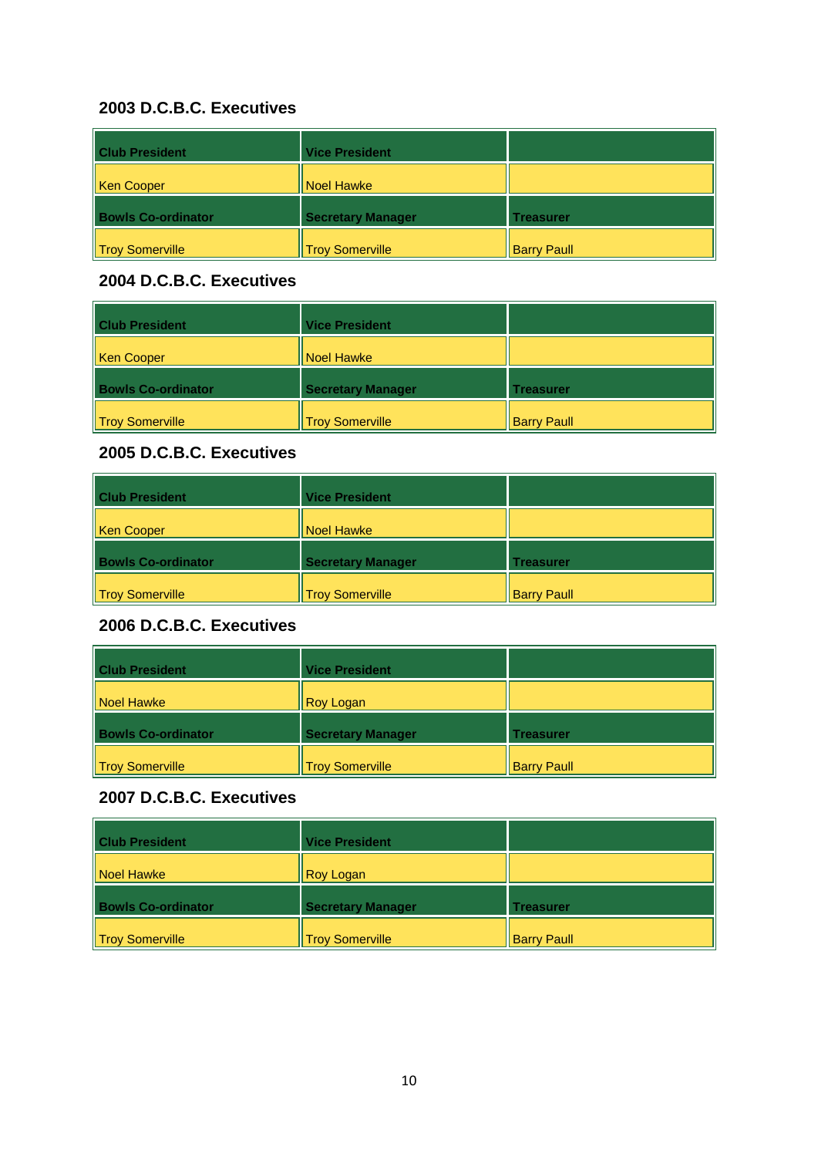| <b>Club President</b>     | <b>Vice President</b>    |                    |
|---------------------------|--------------------------|--------------------|
| Ken Cooper                | Noel Hawke               |                    |
| <b>Bowls Co-ordinator</b> | <b>Secretary Manager</b> | <b>Treasurer</b>   |
| Troy Somerville           | <b>Troy Somerville</b>   | <b>Barry Paull</b> |

#### **2004 D.C.B.C. Executives**

| <b>Club President</b>     | <b>Vice President</b>    |                    |
|---------------------------|--------------------------|--------------------|
| <b>Ken Cooper</b>         | Noel Hawke               |                    |
| <b>Bowls Co-ordinator</b> | <b>Secretary Manager</b> | Treasurer          |
| <b>Troy Somerville</b>    | <b>Troy Somerville</b>   | <b>Barry Paull</b> |

### **2005 D.C.B.C. Executives**

| <b>Club President</b>     | <b>Vice President</b>    |                    |
|---------------------------|--------------------------|--------------------|
| Ken Cooper                | <b>Noel Hawke</b>        |                    |
| <b>Bowls Co-ordinator</b> | <b>Secretary Manager</b> | <b>Treasurer</b>   |
| Troy Somerville           | <b>Troy Somerville</b>   | <b>Barry Paull</b> |

# **2006 D.C.B.C. Executives**

| <b>Club President</b>     | <b>Vice President</b>    |                    |
|---------------------------|--------------------------|--------------------|
| Noel Hawke                | <b>Roy Logan</b>         |                    |
| <b>Bowls Co-ordinator</b> | <b>Secretary Manager</b> | <b>Treasurer</b>   |
| Troy Somerville           | <b>Troy Somerville</b>   | <b>Barry Paull</b> |

| <b>Club President</b>     | <b>Vice President</b>    |                    |
|---------------------------|--------------------------|--------------------|
| Noel Hawke                | Roy Logan                |                    |
| <b>Bowls Co-ordinator</b> | <b>Secretary Manager</b> | <b>Treasurer</b>   |
| Troy Somerville           | <b>Troy Somerville</b>   | <b>Barry Paull</b> |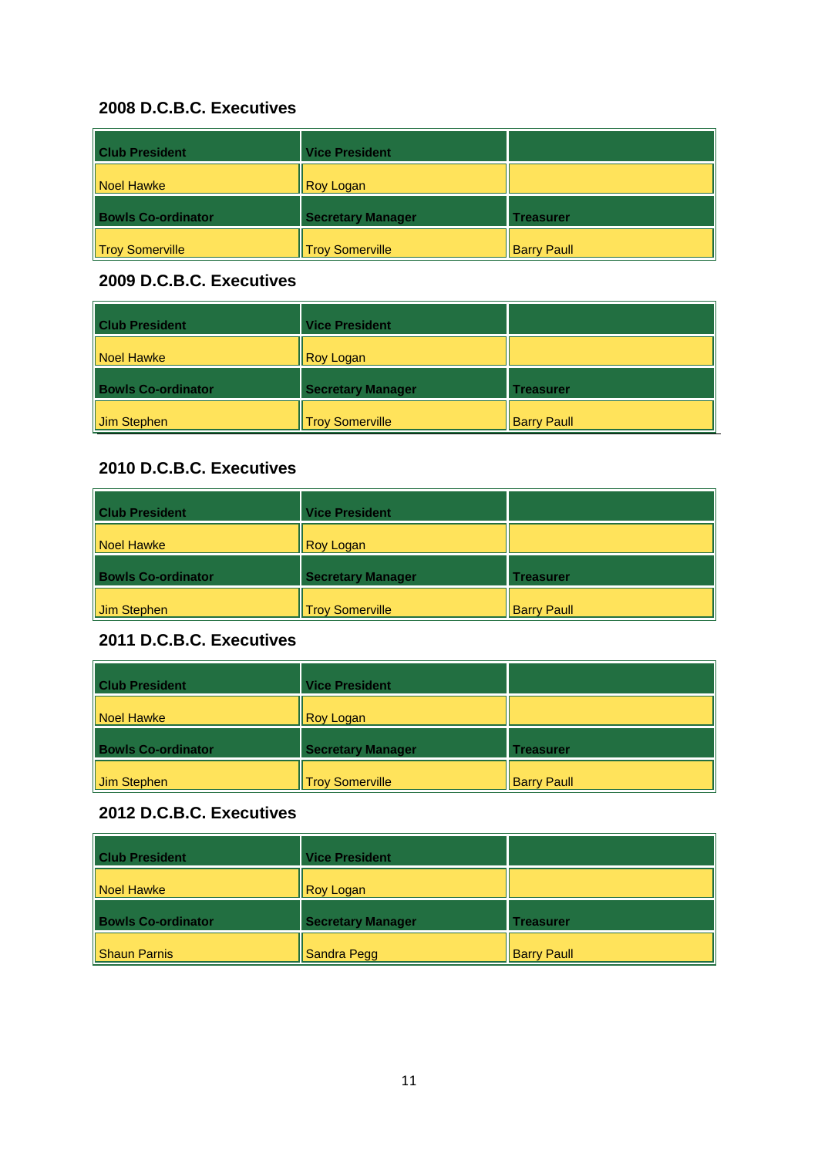| <b>Club President</b>     | <b>Vice President</b>    |                    |
|---------------------------|--------------------------|--------------------|
| Noel Hawke                | <b>Roy Logan</b>         |                    |
| <b>Bowls Co-ordinator</b> | <b>Secretary Manager</b> | <b>Treasurer</b>   |
| Troy Somerville           | <b>Troy Somerville</b>   | <b>Barry Paull</b> |

#### **2009 D.C.B.C. Executives**

| <b>Club President</b>     | <b>Vice President</b>    |                    |
|---------------------------|--------------------------|--------------------|
| Noel Hawke                | <b>Roy Logan</b>         |                    |
| <b>Bowls Co-ordinator</b> | <b>Secretary Manager</b> | <b>Treasurer</b>   |
| Jim Stephen               | <b>Troy Somerville</b>   | <b>Barry Paull</b> |

### **2010 D.C.B.C. Executives**

| <b>Club President</b>     | <b>Vice President</b>    |                    |
|---------------------------|--------------------------|--------------------|
| Noel Hawke                | <b>Roy Logan</b>         |                    |
| <b>Bowls Co-ordinator</b> | <b>Secretary Manager</b> | <b>Treasurer</b>   |
| Jim Stephen               | <b>Troy Somerville</b>   | <b>Barry Paull</b> |

# **2011 D.C.B.C. Executives**

| <b>Club President</b>     | <b>Vice President</b>    |                    |
|---------------------------|--------------------------|--------------------|
| Noel Hawke                | <b>Roy Logan</b>         |                    |
| <b>Bowls Co-ordinator</b> | <b>Secretary Manager</b> | <b>Treasurer</b>   |
| Jim Stephen               | <b>Troy Somerville</b>   | <b>Barry Paull</b> |

| <b>Club President</b>     | <b>Vice President</b>    |                    |
|---------------------------|--------------------------|--------------------|
| Noel Hawke                | <b>Roy Logan</b>         |                    |
| <b>Bowls Co-ordinator</b> | <b>Secretary Manager</b> | <b>Treasurer</b>   |
| Shaun Parnis              | Sandra Pegg              | <b>Barry Paull</b> |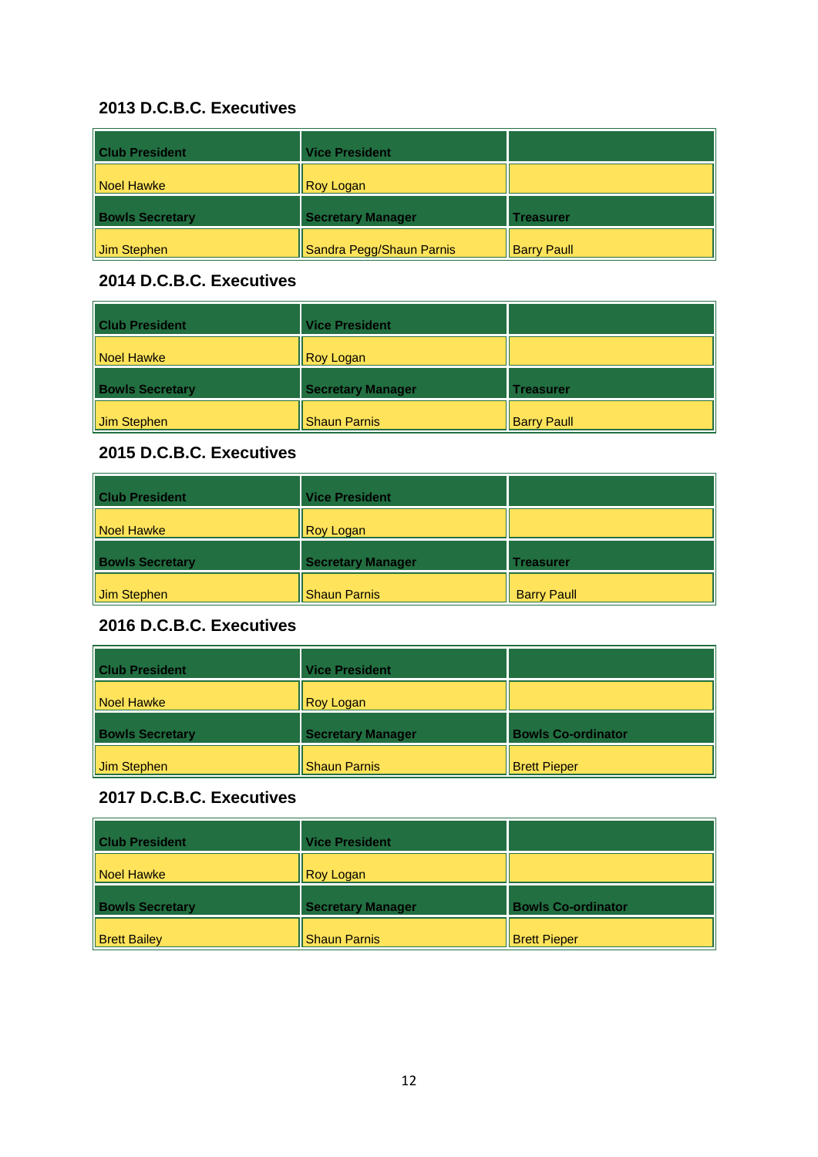| <b>Club President</b>  | <b>Vice President</b>    |                    |
|------------------------|--------------------------|--------------------|
| Noel Hawke             | <b>Roy Logan</b>         |                    |
| <b>Bowls Secretary</b> | <b>Secretary Manager</b> | <b>Treasurer</b>   |
| Jim Stephen            | Sandra Pegg/Shaun Parnis | <b>Barry Paull</b> |

### **2014 D.C.B.C. Executives**

| <b>Club President</b>   | <b>Vice President</b>    |                    |
|-------------------------|--------------------------|--------------------|
| Noel Hawke              | <b>Roy Logan</b>         |                    |
| <b>Bowls Secretary</b>  | <b>Secretary Manager</b> | <b>Treasurer</b>   |
| $\parallel$ Jim Stephen | <b>Shaun Parnis</b>      | <b>Barry Paull</b> |

# **2015 D.C.B.C. Executives**

| <b>Club President</b>  | <b>Vice President</b>    |                    |
|------------------------|--------------------------|--------------------|
| Noel Hawke             | <b>Roy Logan</b>         |                    |
| <b>Bowls Secretary</b> | <b>Secretary Manager</b> | <b>Treasurer</b>   |
| Jim Stephen            | <b>Shaun Parnis</b>      | <b>Barry Paull</b> |

# **2016 D.C.B.C. Executives**

| <b>Club President</b>  | <b>Vice President</b>    |                           |
|------------------------|--------------------------|---------------------------|
| Noel Hawke             | <b>Roy Logan</b>         |                           |
| <b>Bowls Secretary</b> | <b>Secretary Manager</b> | <b>Bowls Co-ordinator</b> |
| Jim Stephen            | <b>Shaun Parnis</b>      | <b>Brett Pieper</b>       |

| <b>Club President</b>  | <b>Vice President</b>    |                           |
|------------------------|--------------------------|---------------------------|
| Noel Hawke             | Roy Logan                |                           |
| <b>Bowls Secretary</b> | <b>Secretary Manager</b> | <b>Bowls Co-ordinator</b> |
| <b>Brett Bailey</b>    | <b>Shaun Parnis</b>      | <b>Brett Pieper</b>       |